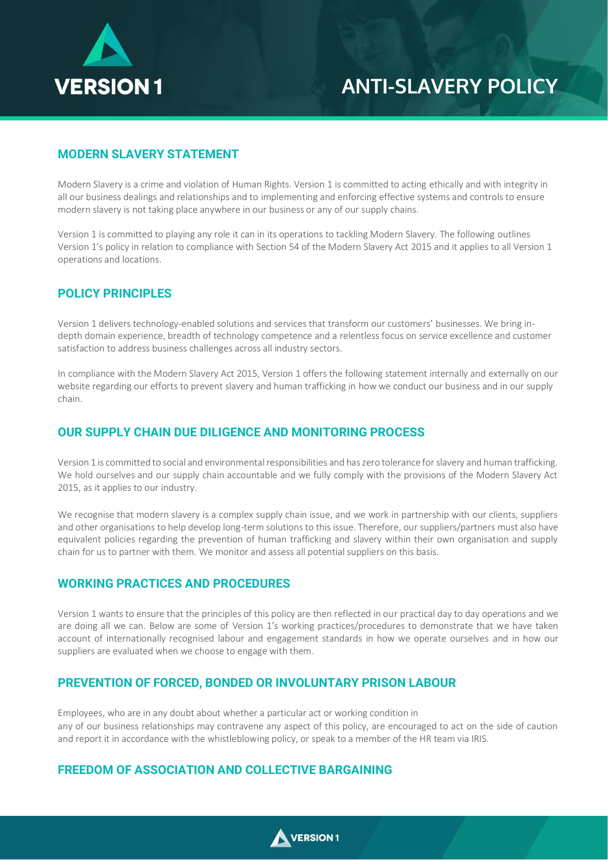

## **ANTI-SLAVERY POLICY**

## **MODERN SLAVERY STATEMENT**

Modern Slavery is a crime and violation of Human Rights. Version 1 is committed to acting ethically and with integrity in all our business dealings and relationships and to implementing and enforcing effective systems and controls to ensure modern slavery is not taking place anywhere in our business or any of our supply chains.

Version 1 is committed to playing any role it can in its operations to tackling Modern Slavery. The following outlines Version 1's policy in relation to compliance with Section 54 of the Modern Slavery Act 2015 and it applies to all Version 1 operations and locations.

#### **POLICY PRINCIPLES**

Version 1 delivers technology-enabled solutions and services that transform our customers' businesses. We bring indepth domain experience, breadth of technology competence and a relentless focus on service excellence and customer satisfaction to address business challenges across all industry sectors.

In compliance with the Modern Slavery Act 2015, Version 1 offers the following statement internally and externally on our website regarding our efforts to prevent slavery and human trafficking in how we conduct our business and in our supply chain.

### **OUR SUPPLY CHAIN DUE DILIGENCE AND MONITORING PROCESS**

Version 1 is committed to social and environmental responsibilities and has zero tolerance for slavery and human trafficking. We hold ourselves and our supply chain accountable and we fully comply with the provisions of the Modern Slavery Act 2015, as it applies to our industry.

We recognise that modern slavery is a complex supply chain issue, and we work in partnership with our clients, suppliers and other organisations to help develop long-term solutions to this issue. Therefore, our suppliers/partners must also have equivalent policies regarding the prevention of human trafficking and slavery within their own organisation and supply chain for us to partner with them. We monitor and assess all potential suppliers on this basis.

### **WORKING PRACTICES AND PROCEDURES**

Version 1 wants to ensure that the principles of this policy are then reflected in our practical day to day operations and we are doing all we can. Below are some of Version 1's working practices/procedures to demonstrate that we have taken account of internationally recognised labour and engagement standards in how we operate ourselves and in how our suppliers are evaluated when we choose to engage with them.

### **PREVENTION OF FORCED, BONDED OR INVOLUNTARY PRISON LABOUR**

Employees, who are in any doubt about whether a particular act or working condition in any of our business relationships may contravene any aspect of this policy, are encouraged to act on the side of caution and report it in accordance with the whistleblowing policy, or speak to a member of the HR team via IRIS.

### **FREEDOM OF ASSOCIATION AND COLLECTIVE BARGAINING**